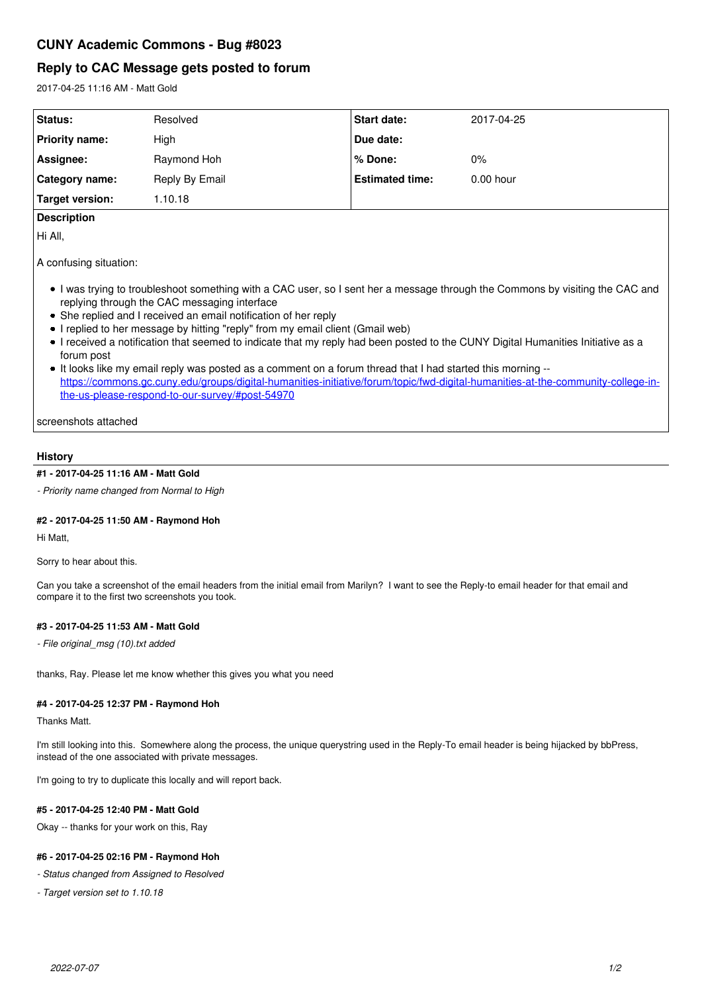# **Reply to CAC Message gets posted to forum**

2017-04-25 11:16 AM - Matt Gold

| Status:               | Resolved       | <b>Start date:</b>     | 2017-04-25  |
|-----------------------|----------------|------------------------|-------------|
| <b>Priority name:</b> | High           | Due date:              |             |
| Assignee:             | Raymond Hoh    | % Done:                | $0\%$       |
| Category name:        | Reply By Email | <b>Estimated time:</b> | $0.00$ hour |
| Target version:       | .10.18         |                        |             |

## **Description**

Hi All,

A confusing situation:

- I was trying to troubleshoot something with a CAC user, so I sent her a message through the Commons by visiting the CAC and replying through the CAC messaging interface
- She replied and I received an email notification of her reply
- I replied to her message by hitting "reply" from my email client (Gmail web)
- I received a notification that seemed to indicate that my reply had been posted to the CUNY Digital Humanities Initiative as a forum post
- It looks like my email reply was posted as a comment on a forum thread that I had started this morning -[https://commons.gc.cuny.edu/groups/digital-humanities-initiative/forum/topic/fwd-digital-humanities-at-the-community-college-in](https://commons.gc.cuny.edu/groups/digital-humanities-initiative/forum/topic/fwd-digital-humanities-at-the-community-college-in-the-us-please-respond-to-our-survey/#post-54970)[the-us-please-respond-to-our-survey/#post-54970](https://commons.gc.cuny.edu/groups/digital-humanities-initiative/forum/topic/fwd-digital-humanities-at-the-community-college-in-the-us-please-respond-to-our-survey/#post-54970)

screenshots attached

## **History**

## **#1 - 2017-04-25 11:16 AM - Matt Gold**

*- Priority name changed from Normal to High*

#### **#2 - 2017-04-25 11:50 AM - Raymond Hoh**

Hi Matt,

Sorry to hear about this.

Can you take a screenshot of the email headers from the initial email from Marilyn? I want to see the Reply-to email header for that email and compare it to the first two screenshots you took.

#### **#3 - 2017-04-25 11:53 AM - Matt Gold**

*- File original\_msg (10).txt added*

thanks, Ray. Please let me know whether this gives you what you need

#### **#4 - 2017-04-25 12:37 PM - Raymond Hoh**

Thanks Matt.

I'm still looking into this. Somewhere along the process, the unique querystring used in the Reply-To email header is being hijacked by bbPress, instead of the one associated with private messages.

I'm going to try to duplicate this locally and will report back.

### **#5 - 2017-04-25 12:40 PM - Matt Gold**

Okay -- thanks for your work on this, Ray

#### **#6 - 2017-04-25 02:16 PM - Raymond Hoh**

*- Status changed from Assigned to Resolved*

*- Target version set to 1.10.18*